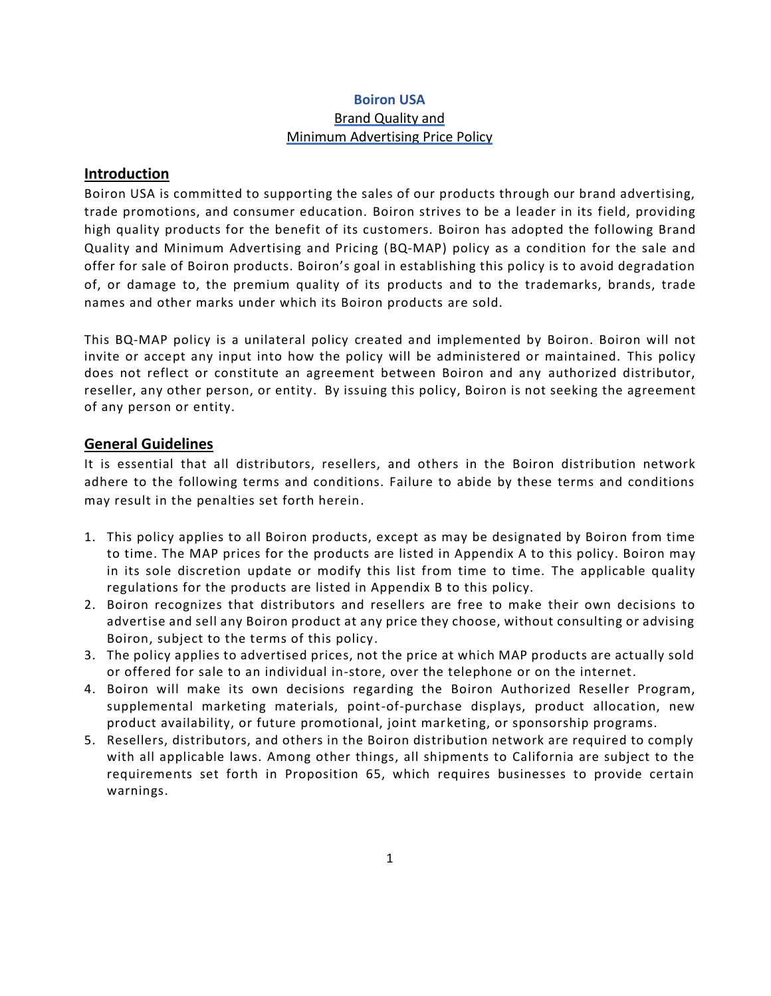### **Boiron USA** Brand Quality and Minimum Advertising Price Policy

#### **Introduction**

Boiron USA is committed to supporting the sales of our products through our brand advertising, trade promotions, and consumer education. Boiron strives to be a leader in its field, providing high quality products for the benefit of its customers. Boiron has adopted the following Brand Quality and Minimum Advertising and Pricing (BQ-MAP) policy as a condition for the sale and offer for sale of Boiron products. Boiron's goal in establishing this policy is to avoid degradation of, or damage to, the premium quality of its products and to the trademarks, brands, trade names and other marks under which its Boiron products are sold.

This BQ-MAP policy is a unilateral policy created and implemented by Boiron. Boiron will not invite or accept any input into how the policy will be administered or maintained. This policy does not reflect or constitute an agreement between Boiron and any authorized distributor, reseller, any other person, or entity. By issuing this policy, Boiron is not seeking the agreement of any person or entity.

#### **General Guidelines**

It is essential that all distributors, resellers, and others in the Boiron distribution network adhere to the following terms and conditions. Failure to abide by these terms and conditions may result in the penalties set forth herein.

- 1. This policy applies to all Boiron products, except as may be designated by Boiron from time to time. The MAP prices for the products are listed in Appendix A to this policy. Boiron may in its sole discretion update or modify this list from time to time. The applicable quality regulations for the products are listed in Appendix B to this policy.
- 2. Boiron recognizes that distributors and resellers are free to make their own decisions to advertise and sell any Boiron product at any price they choose, without consulting or advising Boiron, subject to the terms of this policy.
- 3. The policy applies to advertised prices, not the price at which MAP products are actually sold or offered for sale to an individual in-store, over the telephone or on the internet.
- 4. Boiron will make its own decisions regarding the Boiron Authorized Reseller Program, supplemental marketing materials, point-of-purchase displays, product allocation, new product availability, or future promotional, joint marketing, or sponsorship programs.
- 5. Resellers, distributors, and others in the Boiron distribution network are required to comply with all applicable laws. Among other things, all shipments to California are subject to the requirements set forth in Proposition 65, which requires businesses to provide certain warnings.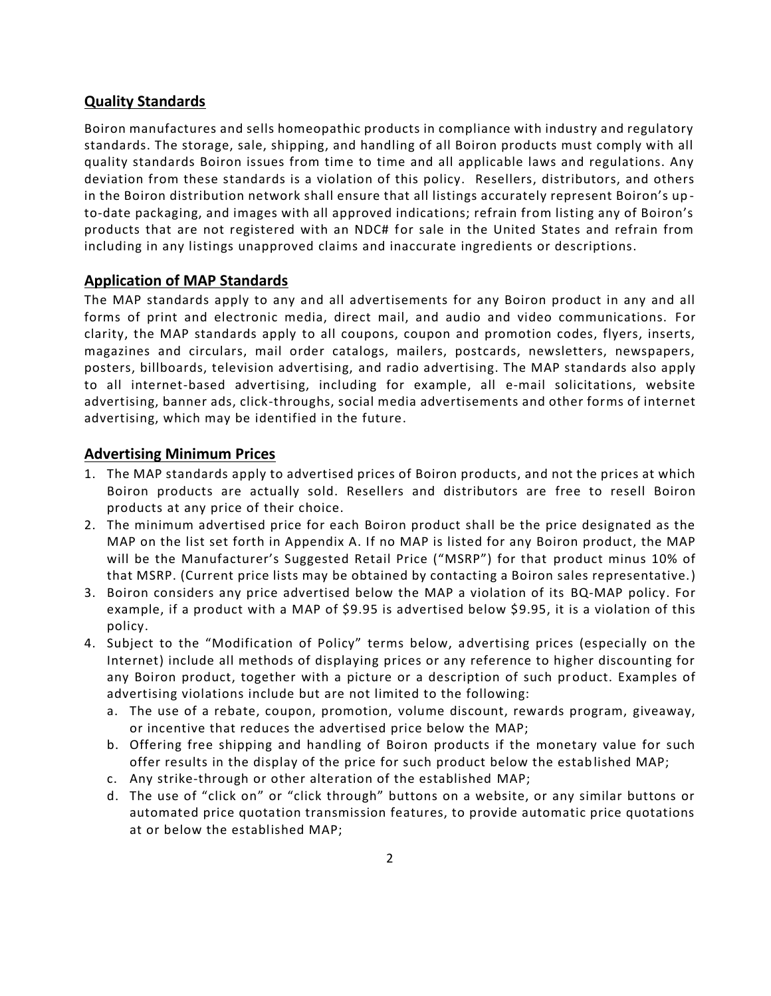## **Quality Standards**

Boiron manufactures and sells homeopathic products in compliance with industry and regulatory standards. The storage, sale, shipping, and handling of all Boiron products must comply with all quality standards Boiron issues from time to time and all applicable laws and regulations. Any deviation from these standards is a violation of this policy. Resellers, distributors, and others in the Boiron distribution network shall ensure that all listings accurately represent Boiron's up to-date packaging, and images with all approved indications; refrain from listing any of Boiron's products that are not registered with an NDC# for sale in the United States and refrain from including in any listings unapproved claims and inaccurate ingredients or descriptions.

#### **Application of MAP Standards**

The MAP standards apply to any and all advertisements for any Boiron product in any and all forms of print and electronic media, direct mail, and audio and video communications. For clarity, the MAP standards apply to all coupons, coupon and promotion codes, flyers, inserts, magazines and circulars, mail order catalogs, mailers, postcards, newsletters, newspapers, posters, billboards, television advertising, and radio advertising. The MAP standards also apply to all internet-based advertising, including for example, all e-mail solicitations, website advertising, banner ads, click-throughs, social media advertisements and other forms of internet advertising, which may be identified in the future.

#### **Advertising Minimum Prices**

- 1. The MAP standards apply to advertised prices of Boiron products, and not the prices at which Boiron products are actually sold. Resellers and distributors are free to resell Boiron products at any price of their choice.
- 2. The minimum advertised price for each Boiron product shall be the price designated as the MAP on the list set forth in Appendix A. If no MAP is listed for any Boiron product, the MAP will be the Manufacturer's Suggested Retail Price ("MSRP") for that product minus 10% of that MSRP. (Current price lists may be obtained by contacting a Boiron sales representative.)
- 3. Boiron considers any price advertised below the MAP a violation of its BQ-MAP policy. For example, if a product with a MAP of \$9.95 is advertised below \$9.95, it is a violation of this policy.
- 4. Subject to the "Modification of Policy" terms below, advertising prices (especially on the Internet) include all methods of displaying prices or any reference to higher discounting for any Boiron product, together with a picture or a description of such product. Examples of advertising violations include but are not limited to the following:
	- a. The use of a rebate, coupon, promotion, volume discount, rewards program, giveaway, or incentive that reduces the advertised price below the MAP;
	- b. Offering free shipping and handling of Boiron products if the monetary value for such offer results in the display of the price for such product below the established MAP;
	- c. Any strike‐through or other alteration of the established MAP;
	- d. The use of "click on" or "click through" buttons on a website, or any similar buttons or automated price quotation transmission features, to provide automatic price quotations at or below the established MAP;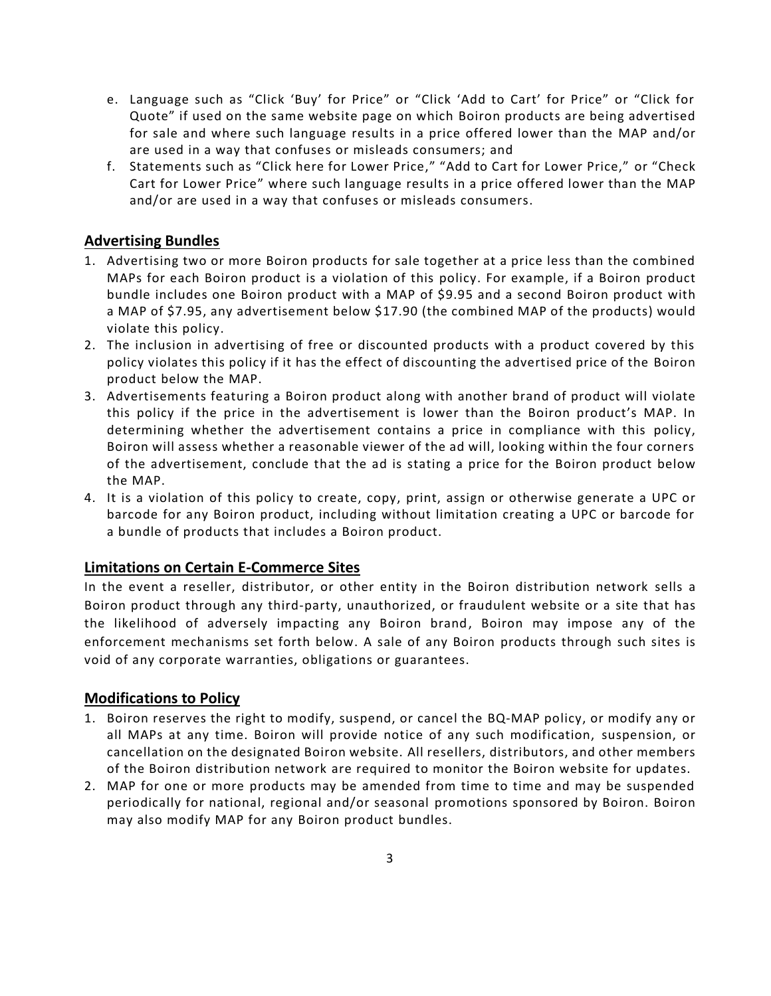- e. Language such as "Click 'Buy' for Price" or "Click 'Add to Cart' for Price" or "Click for Quote" if used on the same website page on which Boiron products are being advertised for sale and where such language results in a price offered lower than the MAP and/or are used in a way that confuses or misleads consumers; and
- f. Statements such as "Click here for Lower Price," "Add to Cart for Lower Price," or "Check Cart for Lower Price" where such language results in a price offered lower than the MAP and/or are used in a way that confuses or misleads consumers.

## **Advertising Bundles**

- 1. Advertising two or more Boiron products for sale together at a price less than the combined MAPs for each Boiron product is a violation of this policy. For example, if a Boiron product bundle includes one Boiron product with a MAP of \$9.95 and a second Boiron product with a MAP of \$7.95, any advertisement below \$17.90 (the combined MAP of the products) would violate this policy.
- 2. The inclusion in advertising of free or discounted products with a product covered by this policy violates this policy if it has the effect of discounting the advertised price of the Boiron product below the MAP.
- 3. Advertisements featuring a Boiron product along with another brand of product will violate this policy if the price in the advertisement is lower than the Boiron product's MAP. In determining whether the advertisement contains a price in compliance with this policy, Boiron will assess whether a reasonable viewer of the ad will, looking within the four corners of the advertisement, conclude that the ad is stating a price for the Boiron product below the MAP.
- 4. It is a violation of this policy to create, copy, print, assign or otherwise generate a UPC or barcode for any Boiron product, including without limitation creating a UPC or barcode for a bundle of products that includes a Boiron product.

#### **Limitations on Certain E-Commerce Sites**

In the event a reseller, distributor, or other entity in the Boiron distribution network sells a Boiron product through any third-party, unauthorized, or fraudulent website or a site that has the likelihood of adversely impacting any Boiron brand, Boiron may impose any of the enforcement mechanisms set forth below. A sale of any Boiron products through such sites is void of any corporate warranties, obligations or guarantees.

#### **Modifications to Policy**

- 1. Boiron reserves the right to modify, suspend, or cancel the BQ-MAP policy, or modify any or all MAPs at any time. Boiron will provide notice of any such modification, suspension, or cancellation on the designated Boiron website. All resellers, distributors, and other members of the Boiron distribution network are required to monitor the Boiron website for updates.
- 2. MAP for one or more products may be amended from time to time and may be suspended periodically for national, regional and/or seasonal promotions sponsored by Boiron. Boiron may also modify MAP for any Boiron product bundles.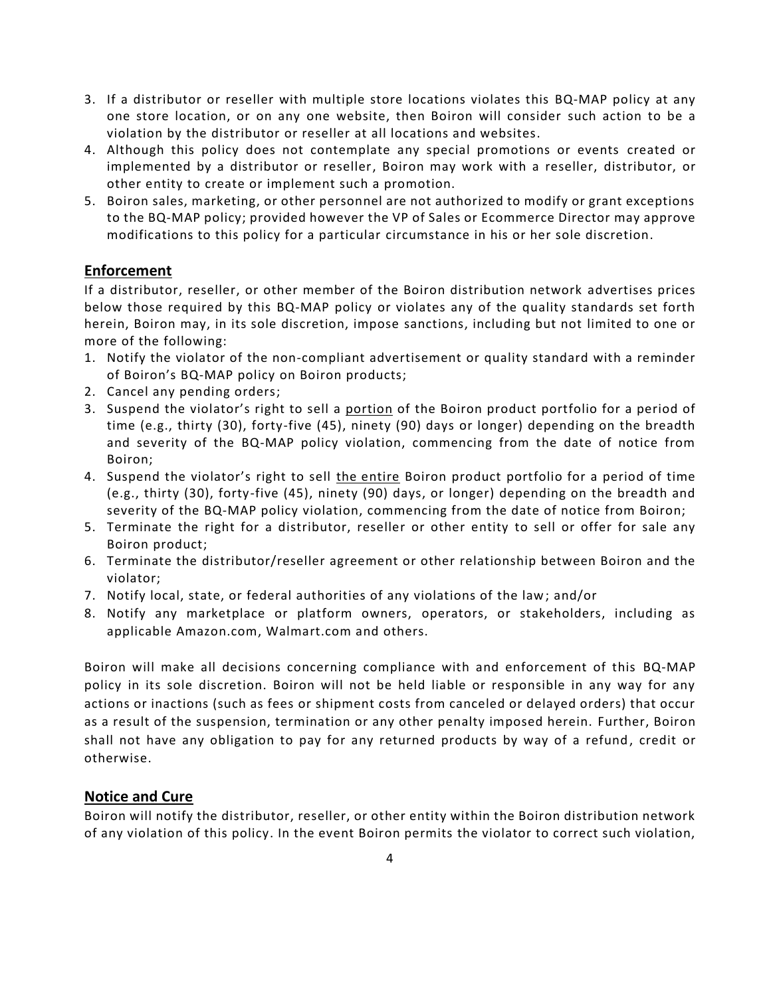- 3. If a distributor or reseller with multiple store locations violates this BQ-MAP policy at any one store location, or on any one website, then Boiron will consider such action to be a violation by the distributor or reseller at all locations and websites.
- 4. Although this policy does not contemplate any special promotions or events created or implemented by a distributor or reseller, Boiron may work with a reseller, distributor, or other entity to create or implement such a promotion.
- 5. Boiron sales, marketing, or other personnel are not authorized to modify or grant exceptions to the BQ-MAP policy; provided however the VP of Sales or Ecommerce Director may approve modifications to this policy for a particular circumstance in his or her sole discretion.

# **Enforcement**

If a distributor, reseller, or other member of the Boiron distribution network advertises prices below those required by this BQ-MAP policy or violates any of the quality standards set forth herein, Boiron may, in its sole discretion, impose sanctions, including but not limited to one or more of the following:

- 1. Notify the violator of the non-compliant advertisement or quality standard with a reminder of Boiron's BQ-MAP policy on Boiron products;
- 2. Cancel any pending orders;
- 3. Suspend the violator's right to sell a portion of the Boiron product portfolio for a period of time (e.g., thirty (30), forty-five (45), ninety (90) days or longer) depending on the breadth and severity of the BQ-MAP policy violation, commencing from the date of notice from Boiron;
- 4. Suspend the violator's right to sell the entire Boiron product portfolio for a period of time (e.g., thirty (30), forty-five (45), ninety (90) days, or longer) depending on the breadth and severity of the BQ-MAP policy violation, commencing from the date of notice from Boiron;
- 5. Terminate the right for a distributor, reseller or other entity to sell or offer for sale any Boiron product;
- 6. Terminate the distributor/reseller agreement or other relationship between Boiron and the violator;
- 7. Notify local, state, or federal authorities of any violations of the law; and/or
- 8. Notify any marketplace or platform owners, operators, or stakeholders, including as applicable Amazon.com, Walmart.com and others.

Boiron will make all decisions concerning compliance with and enforcement of this BQ-MAP policy in its sole discretion. Boiron will not be held liable or responsible in any way for any actions or inactions (such as fees or shipment costs from canceled or delayed orders) that occur as a result of the suspension, termination or any other penalty imposed herein. Further, Boiron shall not have any obligation to pay for any returned products by way of a refund, credit or otherwise.

# **Notice and Cure**

Boiron will notify the distributor, reseller, or other entity within the Boiron distribution network of any violation of this policy. In the event Boiron permits the violator to correct such violation,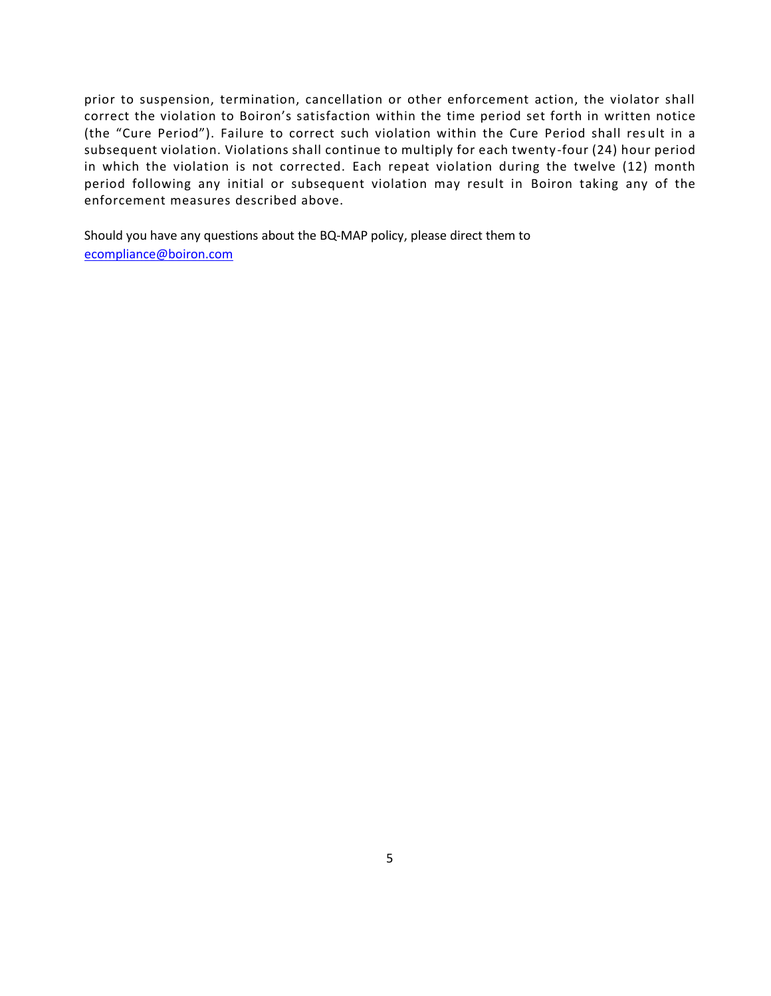prior to suspension, termination, cancellation or other enforcement action, the violator shall correct the violation to Boiron's satisfaction within the time period set forth in written notice (the "Cure Period"). Failure to correct such violation within the Cure Period shall res ult in a subsequent violation. Violations shall continue to multiply for each twenty-four (24) hour period in which the violation is not corrected. Each repeat violation during the twelve (12) month period following any initial or subsequent violation may result in Boiron taking any of the enforcement measures described above.

Should you have any questions about the BQ-MAP policy, please direct them to [ecompliance@boiron.com](mailto:ecompliance@boiron.com)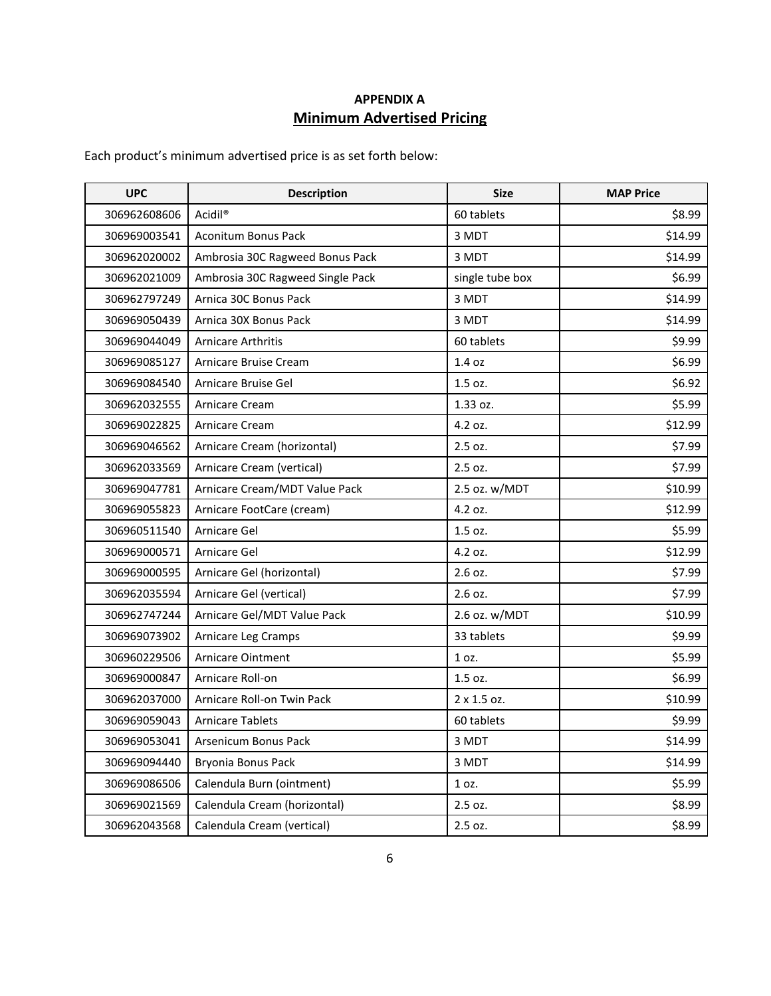# **APPENDIX A Minimum Advertised Pricing**

Each product's minimum advertised price is as set forth below:

| <b>UPC</b>   | <b>Description</b>               | <b>Size</b>     | <b>MAP Price</b> |
|--------------|----------------------------------|-----------------|------------------|
| 306962608606 | Acidil <sup>®</sup>              | 60 tablets      | \$8.99           |
| 306969003541 | <b>Aconitum Bonus Pack</b>       | 3 MDT           | \$14.99          |
| 306962020002 | Ambrosia 30C Ragweed Bonus Pack  | 3 MDT           | \$14.99          |
| 306962021009 | Ambrosia 30C Ragweed Single Pack | single tube box | \$6.99           |
| 306962797249 | Arnica 30C Bonus Pack            | 3 MDT           | \$14.99          |
| 306969050439 | Arnica 30X Bonus Pack            | 3 MDT           | \$14.99          |
| 306969044049 | Arnicare Arthritis               | 60 tablets      | \$9.99           |
| 306969085127 | Arnicare Bruise Cream            | 1.4 oz          | \$6.99           |
| 306969084540 | Arnicare Bruise Gel              | 1.5 oz.         | \$6.92           |
| 306962032555 | <b>Arnicare Cream</b>            | 1.33 oz.        | \$5.99           |
| 306969022825 | <b>Arnicare Cream</b>            | 4.2 oz.         | \$12.99          |
| 306969046562 | Arnicare Cream (horizontal)      | 2.5 oz.         | \$7.99           |
| 306962033569 | Arnicare Cream (vertical)        | 2.5 oz.         | \$7.99           |
| 306969047781 | Arnicare Cream/MDT Value Pack    | 2.5 oz. w/MDT   | \$10.99          |
| 306969055823 | Arnicare FootCare (cream)        | 4.2 oz.         | \$12.99          |
| 306960511540 | Arnicare Gel                     | 1.5 oz.         | \$5.99           |
| 306969000571 | Arnicare Gel                     | 4.2 oz.         | \$12.99          |
| 306969000595 | Arnicare Gel (horizontal)        | 2.6 oz.         | \$7.99           |
| 306962035594 | Arnicare Gel (vertical)          | 2.6 oz.         | \$7.99           |
| 306962747244 | Arnicare Gel/MDT Value Pack      | 2.6 oz. w/MDT   | \$10.99          |
| 306969073902 | Arnicare Leg Cramps              | 33 tablets      | \$9.99           |
| 306960229506 | <b>Arnicare Ointment</b>         | 1 oz.           | \$5.99           |
| 306969000847 | Arnicare Roll-on                 | 1.5 oz.         | \$6.99           |
| 306962037000 | Arnicare Roll-on Twin Pack       | 2 x 1.5 oz.     | \$10.99          |
| 306969059043 | <b>Arnicare Tablets</b>          | 60 tablets      | \$9.99           |
| 306969053041 | Arsenicum Bonus Pack             | 3 MDT           | \$14.99          |
| 306969094440 | Bryonia Bonus Pack               | 3 MDT           | \$14.99          |
| 306969086506 | Calendula Burn (ointment)        | 1 oz.           | \$5.99           |
| 306969021569 | Calendula Cream (horizontal)     | 2.5 oz.         | \$8.99           |
| 306962043568 | Calendula Cream (vertical)       | 2.5 oz.         | \$8.99           |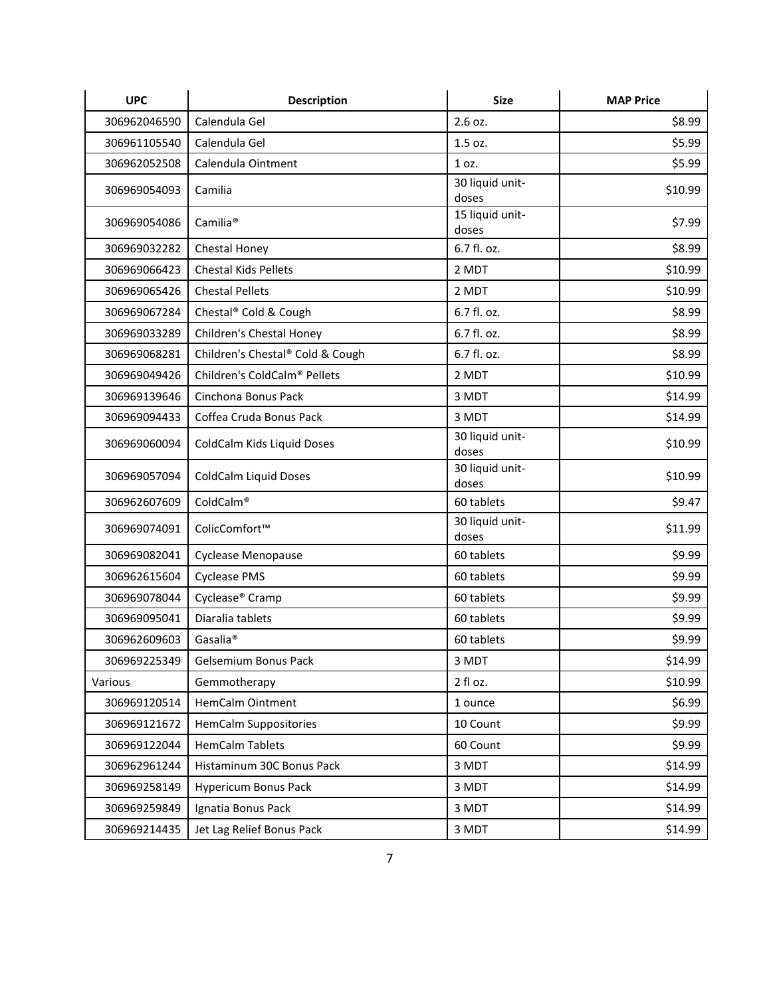| <b>UPC</b>   | <b>Description</b>               | <b>Size</b>              | <b>MAP Price</b> |
|--------------|----------------------------------|--------------------------|------------------|
| 306962046590 | Calendula Gel                    | 2.6 oz.                  | \$8.99           |
| 306961105540 | Calendula Gel                    | 1.5 oz.                  | \$5.99           |
| 306962052508 | Calendula Ointment               | 1 oz.                    | \$5.99           |
| 306969054093 | Camilia                          | 30 liquid unit-<br>doses | \$10.99          |
| 306969054086 | Camilia <sup>®</sup>             | 15 liquid unit-<br>doses | \$7.99           |
| 306969032282 | Chestal Honey                    | 6.7 fl. oz.              | \$8.99           |
| 306969066423 | <b>Chestal Kids Pellets</b>      | 2 MDT                    | \$10.99          |
| 306969065426 | <b>Chestal Pellets</b>           | 2 MDT                    | \$10.99          |
| 306969067284 | Chestal® Cold & Cough            | 6.7 fl. oz.              | \$8.99           |
| 306969033289 | Children's Chestal Honey         | 6.7 fl. oz.              | \$8.99           |
| 306969068281 | Children's Chestal® Cold & Cough | 6.7 fl. oz.              | \$8.99           |
| 306969049426 | Children's ColdCalm® Pellets     | 2 MDT                    | \$10.99          |
| 306969139646 | Cinchona Bonus Pack              | 3 MDT                    | \$14.99          |
| 306969094433 | Coffea Cruda Bonus Pack          | 3 MDT                    | \$14.99          |
| 306969060094 | ColdCalm Kids Liquid Doses       | 30 liquid unit-<br>doses | \$10.99          |
| 306969057094 | ColdCalm Liquid Doses            | 30 liquid unit-<br>doses | \$10.99          |
| 306962607609 | ColdCalm®                        | 60 tablets               | \$9.47           |
| 306969074091 | ColicComfort™                    | 30 liquid unit-<br>doses | \$11.99          |
| 306969082041 | Cyclease Menopause               | 60 tablets               | \$9.99           |
| 306962615604 | <b>Cyclease PMS</b>              | 60 tablets               | \$9.99           |
| 306969078044 | Cyclease <sup>®</sup> Cramp      | 60 tablets               | \$9.99           |
| 306969095041 | Diaralia tablets                 | 60 tablets               | \$9.99           |
| 306962609603 | Gasalia <sup>®</sup>             | 60 tablets               | \$9.99           |
| 306969225349 | Gelsemium Bonus Pack             | 3 MDT                    | \$14.99          |
| Various      | Gemmotherapy                     | 2 fl oz.                 | \$10.99          |
| 306969120514 | <b>HemCalm Ointment</b>          | 1 ounce                  | \$6.99           |
| 306969121672 | <b>HemCalm Suppositories</b>     | 10 Count                 | \$9.99           |
| 306969122044 | <b>HemCalm Tablets</b>           | 60 Count                 | \$9.99           |
| 306962961244 | Histaminum 30C Bonus Pack        | 3 MDT                    | \$14.99          |
| 306969258149 | <b>Hypericum Bonus Pack</b>      | 3 MDT                    | \$14.99          |
| 306969259849 | Ignatia Bonus Pack               | 3 MDT                    | \$14.99          |
| 306969214435 | Jet Lag Relief Bonus Pack        | 3 MDT                    | \$14.99          |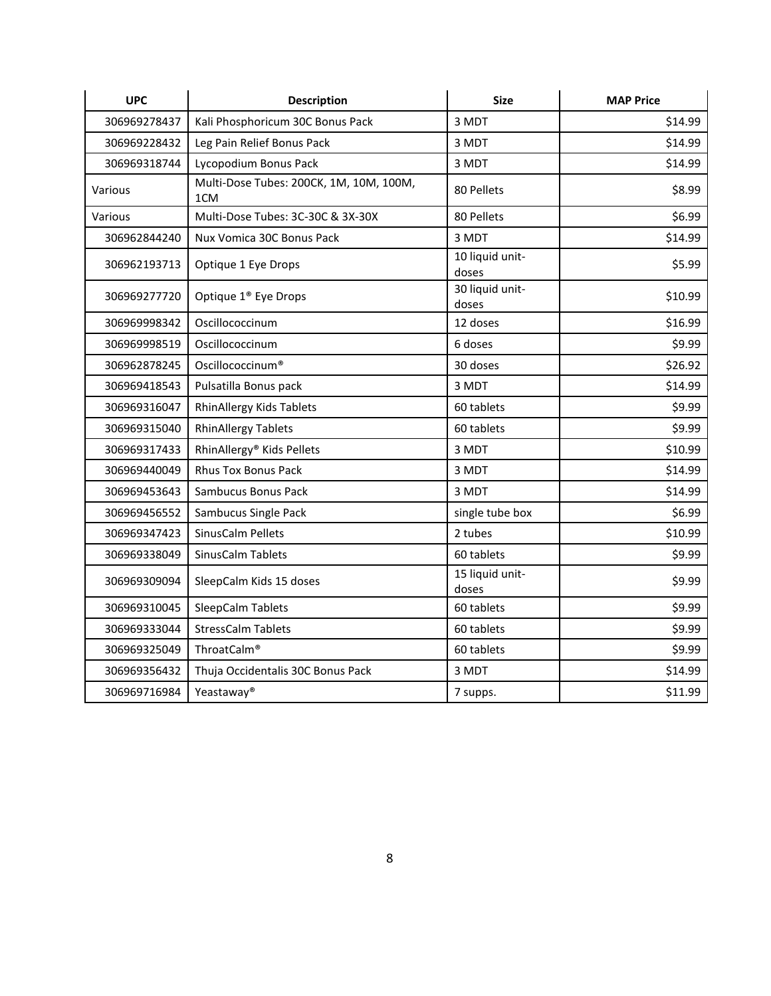| <b>UPC</b>   | <b>Description</b>                                         | <b>Size</b>              | <b>MAP Price</b> |
|--------------|------------------------------------------------------------|--------------------------|------------------|
| 306969278437 | Kali Phosphoricum 30C Bonus Pack                           | 3 MDT                    | \$14.99          |
| 306969228432 | Leg Pain Relief Bonus Pack                                 | 3 MDT                    | \$14.99          |
| 306969318744 | Lycopodium Bonus Pack                                      | 3 MDT                    | \$14.99          |
| Various      | Multi-Dose Tubes: 200CK, 1M, 10M, 100M,<br>1 <sub>CM</sub> | 80 Pellets               | \$8.99           |
| Various      | Multi-Dose Tubes: 3C-30C & 3X-30X                          | 80 Pellets               | \$6.99           |
| 306962844240 | Nux Vomica 30C Bonus Pack                                  | 3 MDT                    | \$14.99          |
| 306962193713 | Optique 1 Eye Drops                                        | 10 liquid unit-<br>doses | \$5.99           |
| 306969277720 | Optique 1 <sup>®</sup> Eye Drops                           | 30 liquid unit-<br>doses | \$10.99          |
| 306969998342 | Oscillococcinum                                            | 12 doses                 | \$16.99          |
| 306969998519 | Oscillococcinum                                            | 6 doses                  | \$9.99           |
| 306962878245 | Oscillococcinum <sup>®</sup>                               | 30 doses                 | \$26.92          |
| 306969418543 | Pulsatilla Bonus pack                                      | 3 MDT                    | \$14.99          |
| 306969316047 | RhinAllergy Kids Tablets                                   | 60 tablets               | \$9.99           |
| 306969315040 | <b>RhinAllergy Tablets</b>                                 | 60 tablets               | \$9.99           |
| 306969317433 | RhinAllergy® Kids Pellets                                  | 3 MDT                    | \$10.99          |
| 306969440049 | <b>Rhus Tox Bonus Pack</b>                                 | 3 MDT                    | \$14.99          |
| 306969453643 | Sambucus Bonus Pack                                        | 3 MDT                    | \$14.99          |
| 306969456552 | Sambucus Single Pack                                       | single tube box          | \$6.99           |
| 306969347423 | SinusCalm Pellets                                          | 2 tubes                  | \$10.99          |
| 306969338049 | SinusCalm Tablets                                          | 60 tablets               | \$9.99           |
| 306969309094 | SleepCalm Kids 15 doses                                    | 15 liquid unit-<br>doses | \$9.99           |
| 306969310045 | SleepCalm Tablets                                          | 60 tablets               | \$9.99           |
| 306969333044 | <b>StressCalm Tablets</b>                                  | 60 tablets               | \$9.99           |
| 306969325049 | ThroatCalm®                                                | 60 tablets               | \$9.99           |
| 306969356432 | Thuja Occidentalis 30C Bonus Pack                          | 3 MDT                    | \$14.99          |
| 306969716984 | Yeastaway <sup>®</sup>                                     | 7 supps.                 | \$11.99          |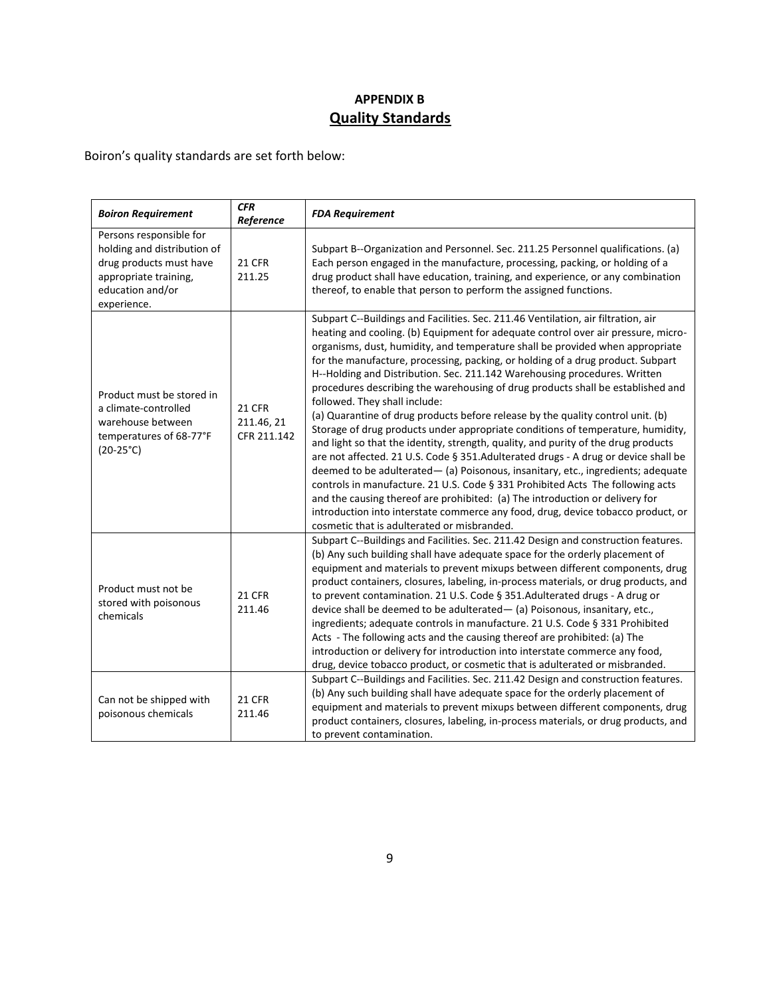# **APPENDIX B Quality Standards**

Boiron's quality standards are set forth below:

| <b>Boiron Requirement</b>                                                                                                                     | <b>CFR</b><br>Reference                    | <b>FDA Requirement</b>                                                                                                                                                                                                                                                                                                                                                                                                                                                                                                                                                                                                                                                                                                                                                                                                                                                                                                                                                                                                                                                                                                                                                                                                                                                                 |
|-----------------------------------------------------------------------------------------------------------------------------------------------|--------------------------------------------|----------------------------------------------------------------------------------------------------------------------------------------------------------------------------------------------------------------------------------------------------------------------------------------------------------------------------------------------------------------------------------------------------------------------------------------------------------------------------------------------------------------------------------------------------------------------------------------------------------------------------------------------------------------------------------------------------------------------------------------------------------------------------------------------------------------------------------------------------------------------------------------------------------------------------------------------------------------------------------------------------------------------------------------------------------------------------------------------------------------------------------------------------------------------------------------------------------------------------------------------------------------------------------------|
| Persons responsible for<br>holding and distribution of<br>drug products must have<br>appropriate training,<br>education and/or<br>experience. | <b>21 CFR</b><br>211.25                    | Subpart B--Organization and Personnel. Sec. 211.25 Personnel qualifications. (a)<br>Each person engaged in the manufacture, processing, packing, or holding of a<br>drug product shall have education, training, and experience, or any combination<br>thereof, to enable that person to perform the assigned functions.                                                                                                                                                                                                                                                                                                                                                                                                                                                                                                                                                                                                                                                                                                                                                                                                                                                                                                                                                               |
| Product must be stored in<br>a climate-controlled<br>warehouse between<br>temperatures of 68-77°F<br>$(20-25^{\circ}C)$                       | <b>21 CFR</b><br>211.46, 21<br>CFR 211.142 | Subpart C--Buildings and Facilities. Sec. 211.46 Ventilation, air filtration, air<br>heating and cooling. (b) Equipment for adequate control over air pressure, micro-<br>organisms, dust, humidity, and temperature shall be provided when appropriate<br>for the manufacture, processing, packing, or holding of a drug product. Subpart<br>H--Holding and Distribution. Sec. 211.142 Warehousing procedures. Written<br>procedures describing the warehousing of drug products shall be established and<br>followed. They shall include:<br>(a) Quarantine of drug products before release by the quality control unit. (b)<br>Storage of drug products under appropriate conditions of temperature, humidity,<br>and light so that the identity, strength, quality, and purity of the drug products<br>are not affected. 21 U.S. Code § 351.Adulterated drugs - A drug or device shall be<br>deemed to be adulterated- (a) Poisonous, insanitary, etc., ingredients; adequate<br>controls in manufacture. 21 U.S. Code § 331 Prohibited Acts The following acts<br>and the causing thereof are prohibited: (a) The introduction or delivery for<br>introduction into interstate commerce any food, drug, device tobacco product, or<br>cosmetic that is adulterated or misbranded. |
| Product must not be<br>stored with poisonous<br>chemicals                                                                                     | <b>21 CFR</b><br>211.46                    | Subpart C--Buildings and Facilities. Sec. 211.42 Design and construction features.<br>(b) Any such building shall have adequate space for the orderly placement of<br>equipment and materials to prevent mixups between different components, drug<br>product containers, closures, labeling, in-process materials, or drug products, and<br>to prevent contamination. 21 U.S. Code § 351.Adulterated drugs - A drug or<br>device shall be deemed to be adulterated- (a) Poisonous, insanitary, etc.,<br>ingredients; adequate controls in manufacture. 21 U.S. Code § 331 Prohibited<br>Acts - The following acts and the causing thereof are prohibited: (a) The<br>introduction or delivery for introduction into interstate commerce any food,<br>drug, device tobacco product, or cosmetic that is adulterated or misbranded.                                                                                                                                                                                                                                                                                                                                                                                                                                                     |
| Can not be shipped with<br>poisonous chemicals                                                                                                | <b>21 CFR</b><br>211.46                    | Subpart C--Buildings and Facilities. Sec. 211.42 Design and construction features.<br>(b) Any such building shall have adequate space for the orderly placement of<br>equipment and materials to prevent mixups between different components, drug<br>product containers, closures, labeling, in-process materials, or drug products, and<br>to prevent contamination.                                                                                                                                                                                                                                                                                                                                                                                                                                                                                                                                                                                                                                                                                                                                                                                                                                                                                                                 |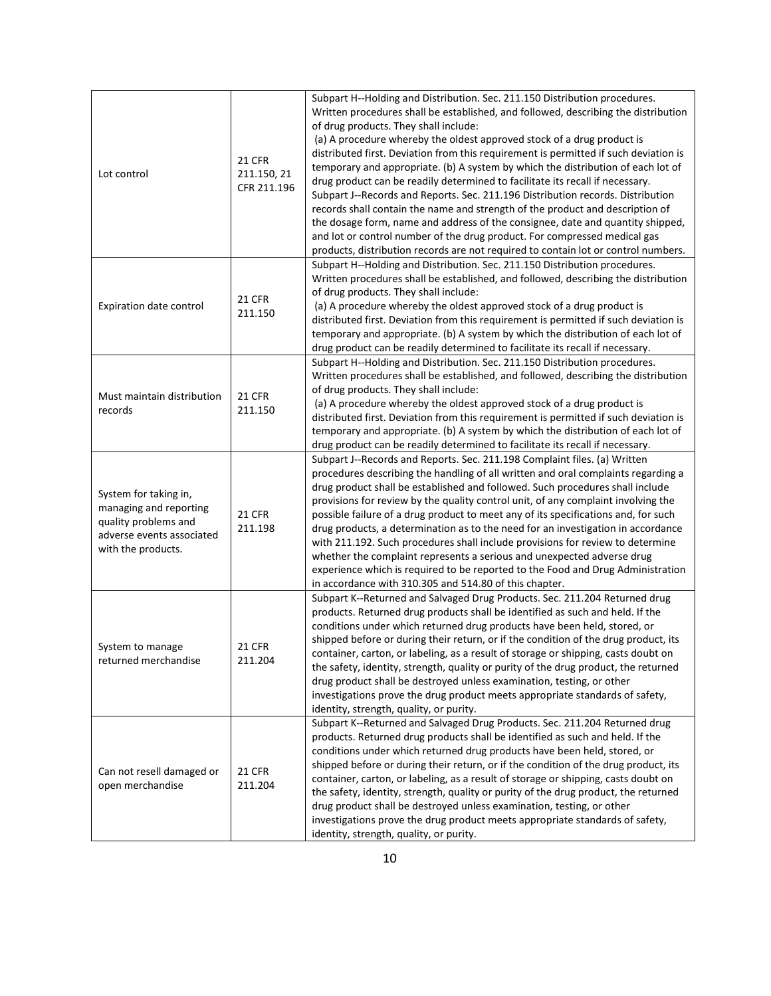| Lot control                                                                                                                | 21 CFR<br>211.150, 21<br>CFR 211.196 | Subpart H--Holding and Distribution. Sec. 211.150 Distribution procedures.<br>Written procedures shall be established, and followed, describing the distribution<br>of drug products. They shall include:<br>(a) A procedure whereby the oldest approved stock of a drug product is<br>distributed first. Deviation from this requirement is permitted if such deviation is<br>temporary and appropriate. (b) A system by which the distribution of each lot of<br>drug product can be readily determined to facilitate its recall if necessary.<br>Subpart J--Records and Reports. Sec. 211.196 Distribution records. Distribution<br>records shall contain the name and strength of the product and description of<br>the dosage form, name and address of the consignee, date and quantity shipped,<br>and lot or control number of the drug product. For compressed medical gas<br>products, distribution records are not required to contain lot or control numbers. |
|----------------------------------------------------------------------------------------------------------------------------|--------------------------------------|---------------------------------------------------------------------------------------------------------------------------------------------------------------------------------------------------------------------------------------------------------------------------------------------------------------------------------------------------------------------------------------------------------------------------------------------------------------------------------------------------------------------------------------------------------------------------------------------------------------------------------------------------------------------------------------------------------------------------------------------------------------------------------------------------------------------------------------------------------------------------------------------------------------------------------------------------------------------------|
| Expiration date control                                                                                                    | <b>21 CFR</b><br>211.150             | Subpart H--Holding and Distribution. Sec. 211.150 Distribution procedures.<br>Written procedures shall be established, and followed, describing the distribution<br>of drug products. They shall include:<br>(a) A procedure whereby the oldest approved stock of a drug product is<br>distributed first. Deviation from this requirement is permitted if such deviation is<br>temporary and appropriate. (b) A system by which the distribution of each lot of<br>drug product can be readily determined to facilitate its recall if necessary.                                                                                                                                                                                                                                                                                                                                                                                                                          |
| Must maintain distribution<br>records                                                                                      | <b>21 CFR</b><br>211.150             | Subpart H--Holding and Distribution. Sec. 211.150 Distribution procedures.<br>Written procedures shall be established, and followed, describing the distribution<br>of drug products. They shall include:<br>(a) A procedure whereby the oldest approved stock of a drug product is<br>distributed first. Deviation from this requirement is permitted if such deviation is<br>temporary and appropriate. (b) A system by which the distribution of each lot of<br>drug product can be readily determined to facilitate its recall if necessary.                                                                                                                                                                                                                                                                                                                                                                                                                          |
| System for taking in,<br>managing and reporting<br>quality problems and<br>adverse events associated<br>with the products. | <b>21 CFR</b><br>211.198             | Subpart J--Records and Reports. Sec. 211.198 Complaint files. (a) Written<br>procedures describing the handling of all written and oral complaints regarding a<br>drug product shall be established and followed. Such procedures shall include<br>provisions for review by the quality control unit, of any complaint involving the<br>possible failure of a drug product to meet any of its specifications and, for such<br>drug products, a determination as to the need for an investigation in accordance<br>with 211.192. Such procedures shall include provisions for review to determine<br>whether the complaint represents a serious and unexpected adverse drug<br>experience which is required to be reported to the Food and Drug Administration<br>in accordance with 310.305 and 514.80 of this chapter.                                                                                                                                                   |
| System to manage<br>returned merchandise                                                                                   | <b>21 CFR</b><br>211.204             | Subpart K--Returned and Salvaged Drug Products. Sec. 211.204 Returned drug<br>products. Returned drug products shall be identified as such and held. If the<br>conditions under which returned drug products have been held, stored, or<br>shipped before or during their return, or if the condition of the drug product, its<br>container, carton, or labeling, as a result of storage or shipping, casts doubt on<br>the safety, identity, strength, quality or purity of the drug product, the returned<br>drug product shall be destroyed unless examination, testing, or other<br>investigations prove the drug product meets appropriate standards of safety,<br>identity, strength, quality, or purity.                                                                                                                                                                                                                                                           |
| Can not resell damaged or<br>open merchandise                                                                              | <b>21 CFR</b><br>211.204             | Subpart K--Returned and Salvaged Drug Products. Sec. 211.204 Returned drug<br>products. Returned drug products shall be identified as such and held. If the<br>conditions under which returned drug products have been held, stored, or<br>shipped before or during their return, or if the condition of the drug product, its<br>container, carton, or labeling, as a result of storage or shipping, casts doubt on<br>the safety, identity, strength, quality or purity of the drug product, the returned<br>drug product shall be destroyed unless examination, testing, or other<br>investigations prove the drug product meets appropriate standards of safety,<br>identity, strength, quality, or purity.                                                                                                                                                                                                                                                           |